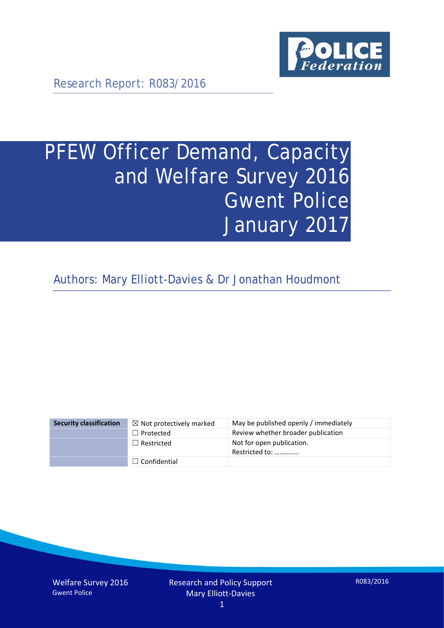

Research Report: R083/2016

# PFEW Officer Demand, Capacity and Welfare Survey 2016 Gwent Police January 2017

Authors: Mary Elliott-Davies & Dr Jonathan Houdmont

| <b>Security classification</b> | $\boxtimes$ Not protectively marked | May be published openly / immediately       |
|--------------------------------|-------------------------------------|---------------------------------------------|
|                                | $\Box$ Protected                    | Review whether broader publication          |
|                                | $\Box$ Restricted                   | Not for open publication.<br>Restricted to: |
|                                | $\Box$ Confidential                 |                                             |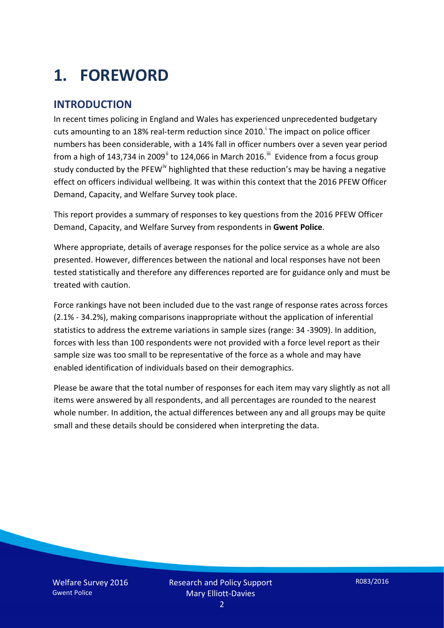# **1. FOREWORD**

## **INTRODUCTION**

In recent times policing in England and Wales has experienced unprecedented budgetary cuts amount[i](#page-15-0)ng to an 18% real-term reduction since 2010.<sup>1</sup> The impact on police officer numbers has been considerable, with a 14% fall in officer numbers over a seven year period from a high of 143,734 in 2009<sup>[ii](#page-15-1)</sup> to 124,066 in March 2016.<sup>[iii](#page-15-2)</sup> Evidence from a focus group study conducted by the PFEW<sup>[iv](#page-15-3)</sup> highlighted that these reduction's may be having a negative effect on officers individual wellbeing. It was within this context that the 2016 PFEW Officer Demand, Capacity, and Welfare Survey took place.

This report provides a summary of responses to key questions from the 2016 PFEW Officer Demand, Capacity, and Welfare Survey from respondents in **Gwent Police**.

Where appropriate, details of average responses for the police service as a whole are also presented. However, differences between the national and local responses have not been tested statistically and therefore any differences reported are for guidance only and must be treated with caution.

Force rankings have not been included due to the vast range of response rates across forces (2.1% - 34.2%), making comparisons inappropriate without the application of inferential statistics to address the extreme variations in sample sizes (range: 34 -3909). In addition, forces with less than 100 respondents were not provided with a force level report as their sample size was too small to be representative of the force as a whole and may have enabled identification of individuals based on their demographics.

Please be aware that the total number of responses for each item may vary slightly as not all items were answered by all respondents, and all percentages are rounded to the nearest whole number. In addition, the actual differences between any and all groups may be quite small and these details should be considered when interpreting the data.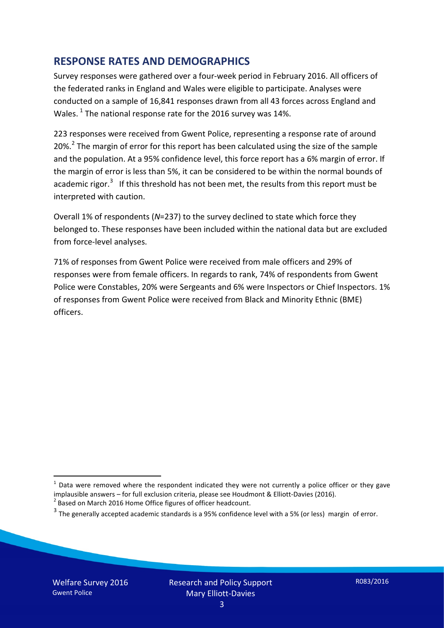## **RESPONSE RATES AND DEMOGRAPHICS**

Survey responses were gathered over a four-week period in February 2016. All officers of the federated ranks in England and Wales were eligible to participate. Analyses were conducted on a sample of 16,841 responses drawn from all 43 forces across England and Wales.  $^1$  $^1$  The national response rate for the 2016 survey was 14%.

223 responses were received from Gwent Police, representing a response rate of around [2](#page-2-1)0%.<sup>2</sup> The margin of error for this report has been calculated using the size of the sample and the population. At a 95% confidence level, this force report has a 6% margin of error. If the margin of error is less than 5%, it can be considered to be within the normal bounds of academic rigor.<sup>[3](#page-2-2)</sup> If this threshold has not been met, the results from this report must be interpreted with caution.

Overall 1% of respondents (*N*=237) to the survey declined to state which force they belonged to. These responses have been included within the national data but are excluded from force-level analyses.

71% of responses from Gwent Police were received from male officers and 29% of responses were from female officers. In regards to rank, 74% of respondents from Gwent Police were Constables, 20% were Sergeants and 6% were Inspectors or Chief Inspectors. 1% of responses from Gwent Police were received from Black and Minority Ethnic (BME) officers.

<u>.</u>

<span id="page-2-0"></span> $1$  Data were removed where the respondent indicated they were not currently a police officer or they gave implausible answers – for full exclusion criteria, please see Houdmont & Elliott-Davies (2016).<br><sup>2</sup> Based on March 2016 Home Office figures of officer headcount.

<span id="page-2-1"></span>

<span id="page-2-2"></span> $3$  The generally accepted academic standards is a 95% confidence level with a 5% (or less) margin of error.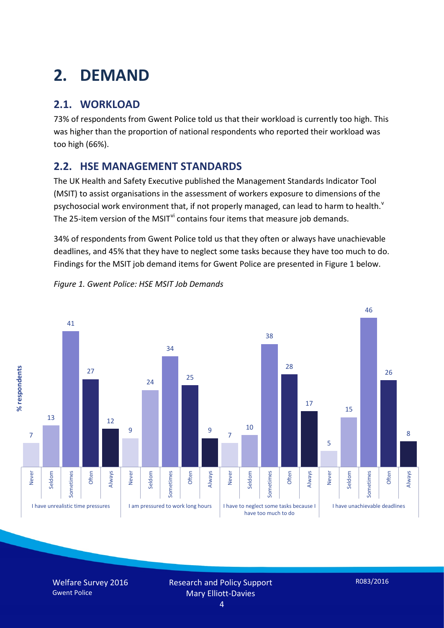# **2. DEMAND**

## **2.1. WORKLOAD**

73% of respondents from Gwent Police told us that their workload is currently too high. This was higher than the proportion of national respondents who reported their workload was too high (66%).

## **2.2. HSE MANAGEMENT STANDARDS**

The UK Health and Safety Executive published the Management Standards Indicator Tool (MSIT) to assist organisations in the assessment of workers exposure to dimensions of the psychosocial work en[v](#page-15-4)ironment that, if not properly managed, can lead to harm to health.<sup>v</sup> The 25-item version of the MSIT<sup>[vi](#page-15-5)</sup> contains four items that measure job demands.

34% of respondents from Gwent Police told us that they often or always have unachievable deadlines, and 45% that they have to neglect some tasks because they have too much to do. Findings for the MSIT job demand items for Gwent Police are presented in Figure 1 below.



*Figure 1. Gwent Police: HSE MSIT Job Demands*

Welfare Survey 2016 Gwent Police

Research and Policy Support Mary Elliott-Davies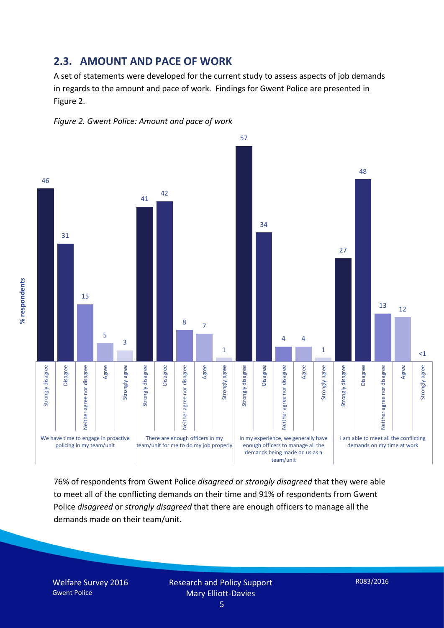#### **2.3. AMOUNT AND PACE OF WORK**

A set of statements were developed for the current study to assess aspects of job demands in regards to the amount and pace of work. Findings for Gwent Police are presented in Figure 2.





76% of respondents from Gwent Police *disagreed* or *strongly disagreed* that they were able to meet all of the conflicting demands on their time and 91% of respondents from Gwent Police *disagreed* or *strongly disagreed* that there are enough officers to manage all the demands made on their team/unit.

Welfare Survey 2016 Gwent Police

Research and Policy Support Mary Elliott-Davies 5

R083/2016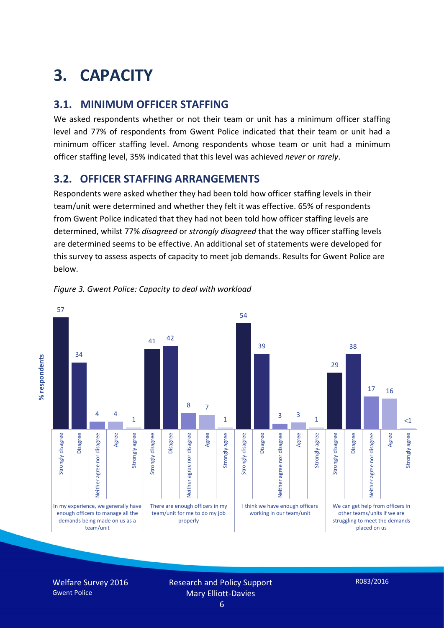# **3. CAPACITY**

## **3.1. MINIMUM OFFICER STAFFING**

We asked respondents whether or not their team or unit has a minimum officer staffing level and 77% of respondents from Gwent Police indicated that their team or unit had a minimum officer staffing level. Among respondents whose team or unit had a minimum officer staffing level, 35% indicated that this level was achieved *never* or *rarely*.

## **3.2. OFFICER STAFFING ARRANGEMENTS**

Respondents were asked whether they had been told how officer staffing levels in their team/unit were determined and whether they felt it was effective. 65% of respondents from Gwent Police indicated that they had not been told how officer staffing levels are determined, whilst 77% *disagreed* or *strongly disagreed* that the way officer staffing levels are determined seems to be effective. An additional set of statements were developed for this survey to assess aspects of capacity to meet job demands. Results for Gwent Police are below.



#### *Figure 3. Gwent Police: Capacity to deal with workload*

Welfare Survey 2016 Gwent Police

Research and Policy Support Mary Elliott-Davies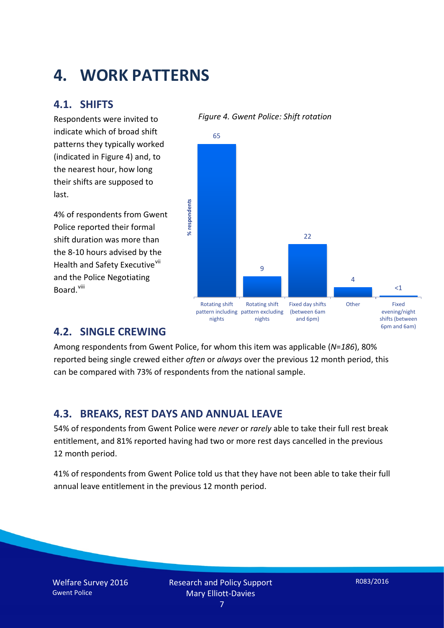## **4. WORK PATTERNS**

## **4.1. SHIFTS**

Respondents were invited to indicate which of broad shift patterns they typically worked (indicated in Figure 4) and, to the nearest hour, how long their shifts are supposed to last.

4% of respondents from Gwent Police reported their formal shift duration was more than the 8-10 hours advised by the Health and Safety Executive<sup>[vii](#page-15-6)</sup> and the Police Negotiating Board.<sup>[viii](#page-15-7)</sup>

## 65 % respondents **% respondents** 22 9 4  $<$ 1 Rotating shift Rotating shift Fixed day shifts Other Fixed evening/night pattern including pattern excluding (between 6am

and 6pm)

#### *Figure 4. Gwent Police: Shift rotation*

nights

**4.2. SINGLE CREWING**

Among respondents from Gwent Police, for whom this item was applicable (*N*=*186*), 80% reported being single crewed either *often* or *always* over the previous 12 month period, this can be compared with 73% of respondents from the national sample.

nights

## **4.3. BREAKS, REST DAYS AND ANNUAL LEAVE**

54% of respondents from Gwent Police were *never* or *rarely* able to take their full rest break entitlement, and 81% reported having had two or more rest days cancelled in the previous 12 month period.

41% of respondents from Gwent Police told us that they have not been able to take their full annual leave entitlement in the previous 12 month period.

shifts (between 6pm and 6am)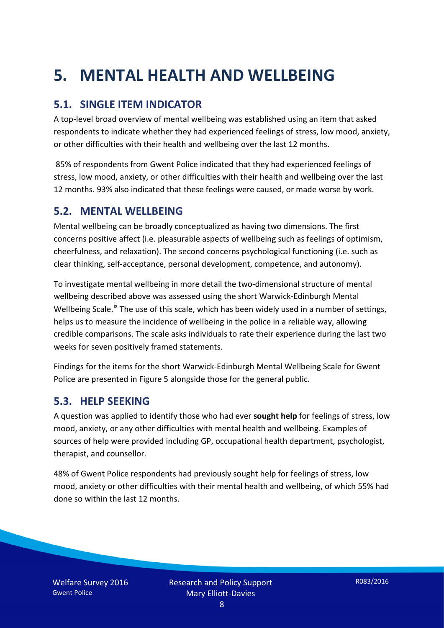# **5. MENTAL HEALTH AND WELLBEING**

## **5.1. SINGLE ITEM INDICATOR**

A top-level broad overview of mental wellbeing was established using an item that asked respondents to indicate whether they had experienced feelings of stress, low mood, anxiety, or other difficulties with their health and wellbeing over the last 12 months.

85% of respondents from Gwent Police indicated that they had experienced feelings of stress, low mood, anxiety, or other difficulties with their health and wellbeing over the last 12 months. 93% also indicated that these feelings were caused, or made worse by work.

### **5.2. MENTAL WELLBEING**

Mental wellbeing can be broadly conceptualized as having two dimensions. The first concerns positive affect (i.e. pleasurable aspects of wellbeing such as feelings of optimism, cheerfulness, and relaxation). The second concerns psychological functioning (i.e. such as clear thinking, self-acceptance, personal development, competence, and autonomy).

To investigate mental wellbeing in more detail the two-dimensional structure of mental wellbeing described above was assessed using the short Warwick-Edinburgh Mental Wellbeing Scale.<sup>[ix](#page-15-8)</sup> The use of this scale, which has been widely used in a number of settings, helps us to measure the incidence of wellbeing in the police in a reliable way, allowing credible comparisons. The scale asks individuals to rate their experience during the last two weeks for seven positively framed statements.

Findings for the items for the short Warwick-Edinburgh Mental Wellbeing Scale for Gwent Police are presented in Figure 5 alongside those for the general public.

#### **5.3. HELP SEEKING**

A question was applied to identify those who had ever **sought help** for feelings of stress, low mood, anxiety, or any other difficulties with mental health and wellbeing. Examples of sources of help were provided including GP, occupational health department, psychologist, therapist, and counsellor.

48% of Gwent Police respondents had previously sought help for feelings of stress, low mood, anxiety or other difficulties with their mental health and wellbeing, of which 55% had done so within the last 12 months.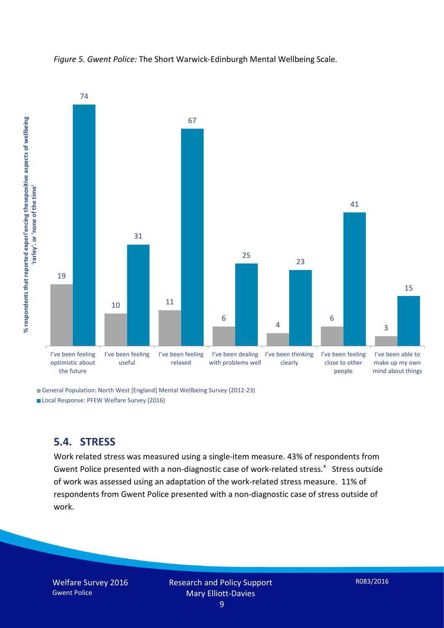

*Figure 5. Gwent Police:* The Short Warwick-Edinburgh Mental Wellbeing Scale*.*

General Population: North West [England] Mental Wellbeing Survey (2012-23)

Local Response: PFEW Welfare Survey (2016)

#### **5.4. STRESS**

Work related stress was measured using a single-item measure. 43% of respondents from Gwent Police presented with a non-diagnostic case of work-related stress.<sup>[x](#page-15-9)</sup> Stress outside of work was assessed using an adaptation of the work-related stress measure. 11% of respondents from Gwent Police presented with a non-diagnostic case of stress outside of work.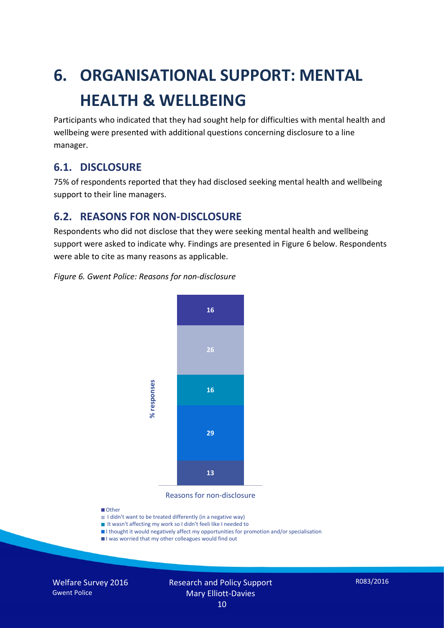# **6. ORGANISATIONAL SUPPORT: MENTAL HEALTH & WELLBEING**

Participants who indicated that they had sought help for difficulties with mental health and wellbeing were presented with additional questions concerning disclosure to a line manager.

## **6.1. DISCLOSURE**

75% of respondents reported that they had disclosed seeking mental health and wellbeing support to their line managers.

## **6.2. REASONS FOR NON-DISCLOSURE**

Respondents who did not disclose that they were seeking mental health and wellbeing support were asked to indicate why. Findings are presented in Figure 6 below. Respondents were able to cite as many reasons as applicable.

#### *Figure 6. Gwent Police: Reasons for non-disclosure*



Reasons for non-disclosure

#### **D**Other

- I didn't want to be treated differently (in a negative way)
- I It wasn't affecting my work so I didn't feeli like I needed to
- I thought it would negatively affect my opportunities for promotion and/or specialisation
- I was worried that my other colleagues would find out

Welfare Survey 2016 Gwent Police

#### Research and Policy Support Mary Elliott-Davies 10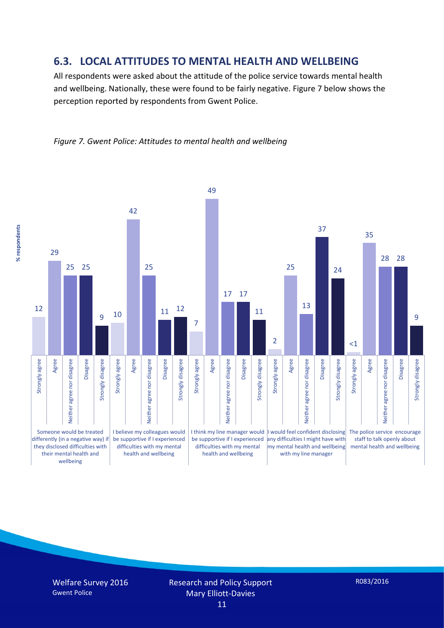#### **6.3. LOCAL ATTITUDES TO MENTAL HEALTH AND WELLBEING**

All respondents were asked about the attitude of the police service towards mental health and wellbeing. Nationally, these were found to be fairly negative. Figure 7 below shows the perception reported by respondents from Gwent Police.

*Figure 7. Gwent Police: Attitudes to mental health and wellbeing*

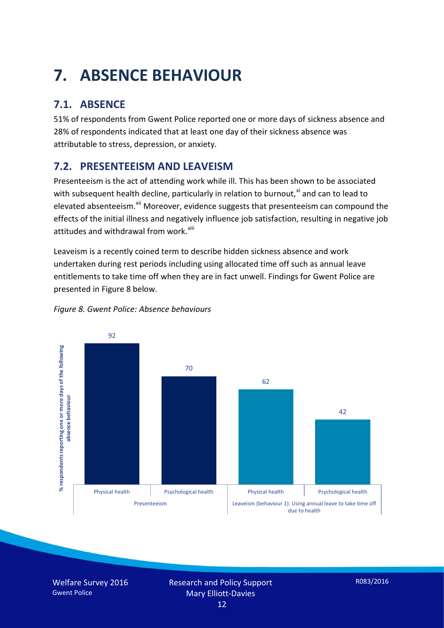# **7. ABSENCE BEHAVIOUR**

## **7.1. ABSENCE**

51% of respondents from Gwent Police reported one or more days of sickness absence and 28% of respondents indicated that at least one day of their sickness absence was attributable to stress, depression, or anxiety.

## **7.2. PRESENTEEISM AND LEAVEISM**

Presenteeism is the act of attending work while ill. This has been shown to be associated with subsequent health decline, particularly in relation to burnout, $x_i$  and can to lead to elevated absenteeism.<sup>[xii](#page-16-1)</sup> Moreover, evidence suggests that presenteeism can compound the effects of the initial illness and negatively influence job satisfaction, resulting in negative job attitudes and withdrawal from work.<sup>[xiii](#page-16-2)</sup>

Leaveism is a recently coined term to describe hidden sickness absence and work undertaken during rest periods including using allocated time off such as annual leave entitlements to take time off when they are in fact unwell. Findings for Gwent Police are presented in Figure 8 below.



#### *Figure 8. Gwent Police: Absence behaviours*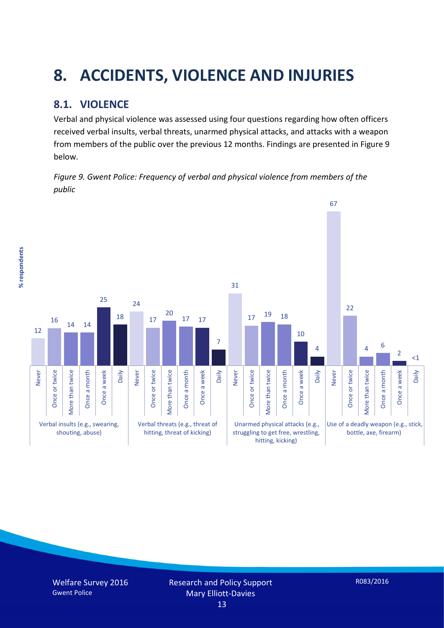# **8. ACCIDENTS, VIOLENCE AND INJURIES**

## **8.1. VIOLENCE**

% respondents **% respondents** Verbal and physical violence was assessed using four questions regarding how often officers received verbal insults, verbal threats, unarmed physical attacks, and attacks with a weapon from members of the public over the previous 12 months. Findings are presented in Figure 9 below.

*Figure 9. Gwent Police: Frequency of verbal and physical violence from members of the public*

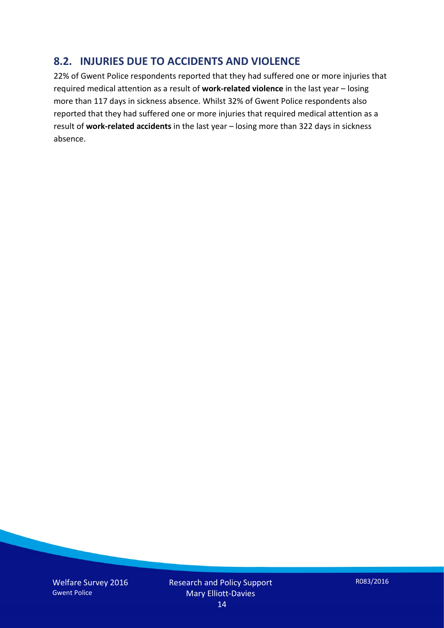## **8.2. INJURIES DUE TO ACCIDENTS AND VIOLENCE**

22% of Gwent Police respondents reported that they had suffered one or more injuries that required medical attention as a result of **work-related violence** in the last year – losing more than 117 days in sickness absence. Whilst 32% of Gwent Police respondents also reported that they had suffered one or more injuries that required medical attention as a result of **work-related accidents** in the last year – losing more than 322 days in sickness absence.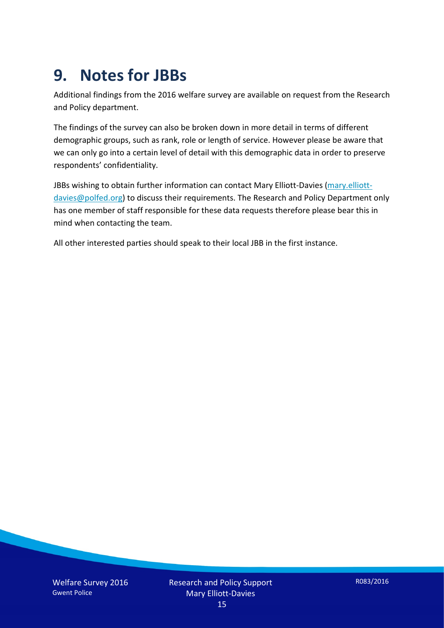## **9. Notes for JBBs**

Additional findings from the 2016 welfare survey are available on request from the Research and Policy department.

The findings of the survey can also be broken down in more detail in terms of different demographic groups, such as rank, role or length of service. However please be aware that we can only go into a certain level of detail with this demographic data in order to preserve respondents' confidentiality.

JBBs wishing to obtain further information can contact Mary Elliott-Davies [\(mary.elliott](mailto:mary.elliott-davies@polfed.org)[davies@polfed.org\)](mailto:mary.elliott-davies@polfed.org) to discuss their requirements. The Research and Policy Department only has one member of staff responsible for these data requests therefore please bear this in mind when contacting the team.

All other interested parties should speak to their local JBB in the first instance.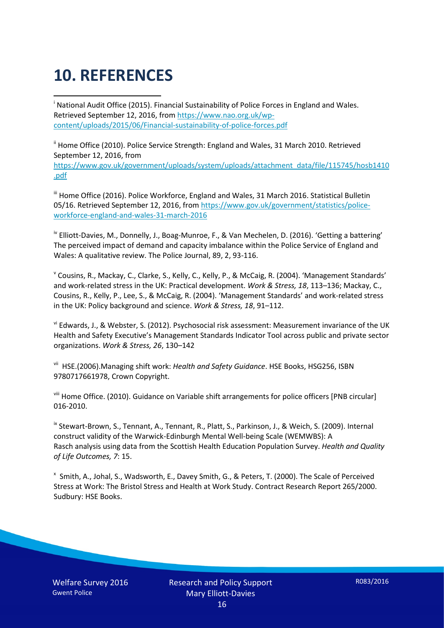# **10. REFERENCES**

<span id="page-15-0"></span>i National Audit Office (2015). Financial Sustainability of Police Forces in England and Wales. Retrieved September 12, 2016, fro[m https://www.nao.org.uk/wp](https://www.nao.org.uk/wp-content/uploads/2015/06/Financial-sustainability-of-police-forces.pdf)[content/uploads/2015/06/Financial-sustainability-of-police-forces.pdf](https://www.nao.org.uk/wp-content/uploads/2015/06/Financial-sustainability-of-police-forces.pdf)

<span id="page-15-1"></span><sup>ii</sup> Home Office (2010). Police Service Strength: England and Wales, 31 March 2010. Retrieved September 12, 2016, from [https://www.gov.uk/government/uploads/system/uploads/attachment\\_data/file/115745/hosb1410](https://www.gov.uk/government/uploads/system/uploads/attachment_data/file/115745/hosb1410.pdf) [.pdf](https://www.gov.uk/government/uploads/system/uploads/attachment_data/file/115745/hosb1410.pdf)

<span id="page-15-2"></span><sup>iii</sup> Home Office (2016). Police Workforce, England and Wales, 31 March 2016. Statistical Bulletin 05/16. Retrieved September 12, 2016, fro[m https://www.gov.uk/government/statistics/police](https://www.gov.uk/government/statistics/police-workforce-england-and-wales-31-march-2016)[workforce-england-and-wales-31-march-2016](https://www.gov.uk/government/statistics/police-workforce-england-and-wales-31-march-2016)

<span id="page-15-3"></span><sup>iv</sup> Elliott-Davies, M., Donnelly, J., Boag-Munroe, F., & Van Mechelen, D. (2016). 'Getting a battering' The perceived impact of demand and capacity imbalance within the Police Service of England and Wales: A qualitative review. The Police Journal, 89, 2, 93-116.

<span id="page-15-4"></span><sup>v</sup> Cousins, R., Mackay, C., Clarke, S., Kelly, C., Kelly, P., & McCaig, R. (2004). 'Management Standards' and work-related stress in the UK: Practical development. *Work & Stress, 18*, 113–136; Mackay, C., Cousins, R., Kelly, P., Lee, S., & McCaig, R. (2004). 'Management Standards' and work-related stress in the UK: Policy background and science. *Work & Stress, 18*, 91–112.

<span id="page-15-5"></span>vi Edwards, J., & Webster, S. (2012). Psychosocial risk assessment: Measurement invariance of the UK Health and Safety Executive's Management Standards Indicator Tool across public and private sector organizations. *Work & Stress, 26*, 130–142

<span id="page-15-6"></span>vii HSE.(2006).Managing shift work: *Health and Safety Guidance*. HSE Books, HSG256, ISBN 9780717661978, Crown Copyright.

<span id="page-15-7"></span>viii Home Office. (2010). Guidance on Variable shift arrangements for police officers [PNB circular] 016-2010.

<span id="page-15-8"></span><sup>ix</sup> Stewart-Brown, S., Tennant, A., Tennant, R., Platt, S., Parkinson, J., & Weich, S. (2009). Internal construct validity of the Warwick-Edinburgh Mental Well-being Scale (WEMWBS): A Rasch analysis using data from the Scottish Health Education Population Survey. *Health and Quality of Life Outcomes, 7*: 15.

<span id="page-15-9"></span>x Smith, A., Johal, S., Wadsworth, E., Davey Smith, G., & Peters, T. (2000). The Scale of Perceived Stress at Work: The Bristol Stress and Health at Work Study. Contract Research Report 265/2000. Sudbury: HSE Books.